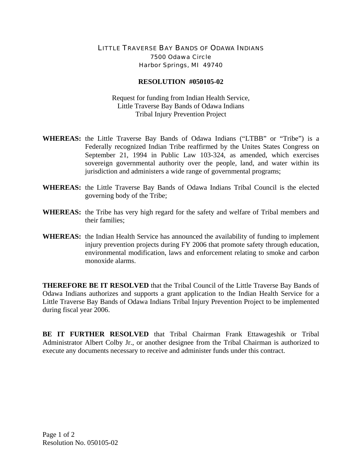## LITTLE TRAVERSE BAY BANDS OF ODAWA INDIANS 7500 Odawa Circle Harbor Springs, MI 49740

## **RESOLUTION #050105-02**

Request for funding from Indian Health Service, Little Traverse Bay Bands of Odawa Indians Tribal Injury Prevention Project

- **WHEREAS:** the Little Traverse Bay Bands of Odawa Indians ("LTBB" or "Tribe") is a Federally recognized Indian Tribe reaffirmed by the Unites States Congress on September 21, 1994 in Public Law 103-324, as amended, which exercises sovereign governmental authority over the people, land, and water within its jurisdiction and administers a wide range of governmental programs;
- **WHEREAS:** the Little Traverse Bay Bands of Odawa Indians Tribal Council is the elected governing body of the Tribe;
- **WHEREAS:** the Tribe has very high regard for the safety and welfare of Tribal members and their families;
- **WHEREAS:** the Indian Health Service has announced the availability of funding to implement injury prevention projects during FY 2006 that promote safety through education, environmental modification, laws and enforcement relating to smoke and carbon monoxide alarms.

**THEREFORE BE IT RESOLVED** that the Tribal Council of the Little Traverse Bay Bands of Odawa Indians authorizes and supports a grant application to the Indian Health Service for a Little Traverse Bay Bands of Odawa Indians Tribal Injury Prevention Project to be implemented during fiscal year 2006.

**BE IT FURTHER RESOLVED** that Tribal Chairman Frank Ettawageshik or Tribal Administrator Albert Colby Jr., or another designee from the Tribal Chairman is authorized to execute any documents necessary to receive and administer funds under this contract.